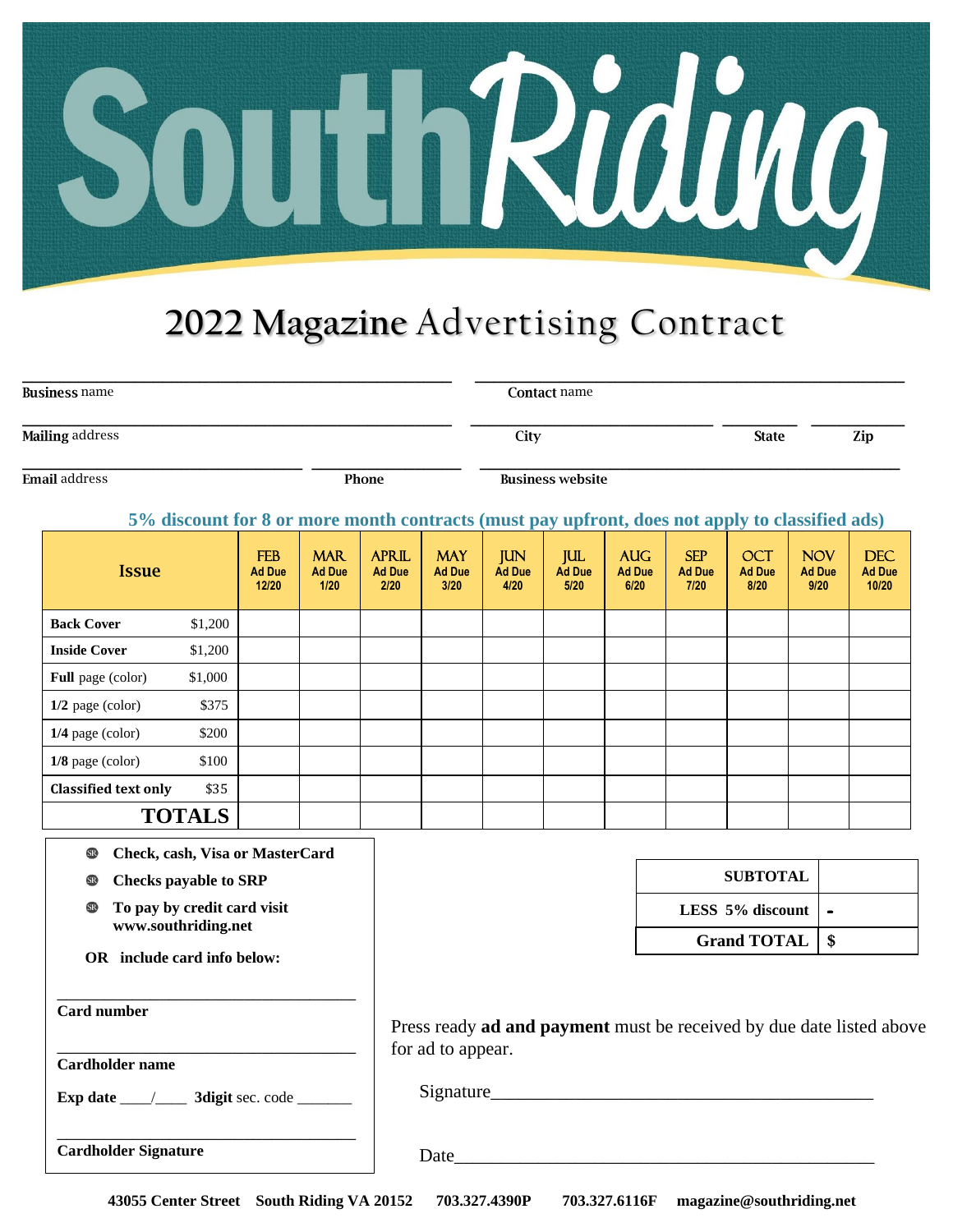

## **2022 Magazine** Advertising Contract

| <b>Business name</b>   |       | <b>Contact name</b>     |              |     |  |  |
|------------------------|-------|-------------------------|--------------|-----|--|--|
| <b>Mailing</b> address |       | City                    | <b>State</b> | Zip |  |  |
| <b>Email</b> address   | Phone | <b>Business website</b> |              |     |  |  |

#### **5% discount for 8 or more month contracts (must pay upfront, does not apply to classified ads)**

| <b>Issue</b>                |               | <b>FEB</b><br><b>Ad Due</b><br>12/20 | <b>MAR</b><br><b>Ad Due</b><br>1/20 | <b>APRIL</b><br><b>Ad Due</b><br>2/20 | <b>MAY</b><br><b>Ad Due</b><br>3/20 | <b>JUN</b><br><b>Ad Due</b><br>4/20 | <b>JUL</b><br>Ad Due<br>5/20 | <b>AUG</b><br><b>Ad Due</b><br>6/20 | <b>SEP</b><br><b>Ad Due</b><br>7/20 | <b>OCT</b><br><b>Ad Due</b><br>8/20 | <b>NOV</b><br><b>Ad Due</b><br>9/20 | <b>DEC</b><br><b>Ad Due</b><br>10/20 |
|-----------------------------|---------------|--------------------------------------|-------------------------------------|---------------------------------------|-------------------------------------|-------------------------------------|------------------------------|-------------------------------------|-------------------------------------|-------------------------------------|-------------------------------------|--------------------------------------|
| <b>Back Cover</b>           | \$1,200       |                                      |                                     |                                       |                                     |                                     |                              |                                     |                                     |                                     |                                     |                                      |
| <b>Inside Cover</b>         | \$1,200       |                                      |                                     |                                       |                                     |                                     |                              |                                     |                                     |                                     |                                     |                                      |
| <b>Full</b> page (color)    | \$1,000       |                                      |                                     |                                       |                                     |                                     |                              |                                     |                                     |                                     |                                     |                                      |
| $1/2$ page (color)          | \$375         |                                      |                                     |                                       |                                     |                                     |                              |                                     |                                     |                                     |                                     |                                      |
| $1/4$ page (color)          | \$200         |                                      |                                     |                                       |                                     |                                     |                              |                                     |                                     |                                     |                                     |                                      |
| $1/8$ page (color)          | \$100         |                                      |                                     |                                       |                                     |                                     |                              |                                     |                                     |                                     |                                     |                                      |
| <b>Classified text only</b> | \$35          |                                      |                                     |                                       |                                     |                                     |                              |                                     |                                     |                                     |                                     |                                      |
|                             | <b>TOTALS</b> |                                      |                                     |                                       |                                     |                                     |                              |                                     |                                     |                                     |                                     |                                      |

**Check, cash, Visa or MasterCard SR** 

- **Checks payable to SRP** SR<sub>1</sub>
- **To pay by credit card visit www.southriding.net**
- **OR include card info below:**

\_\_\_\_\_\_\_\_\_\_\_\_\_\_\_\_\_\_\_\_\_\_\_\_\_\_\_\_\_\_\_\_

\_\_\_\_\_\_\_\_\_\_\_\_\_\_\_\_\_\_\_\_\_\_\_\_\_\_\_\_\_\_\_\_

\_\_\_\_\_\_\_\_\_\_\_\_\_\_\_\_\_\_\_\_\_\_\_\_\_\_\_\_\_\_\_\_

| <b>SUBTOTAL</b>  |  |
|------------------|--|
| LESS 5% discount |  |
| Grand TOTAL   \$ |  |

| Press ready ad and payment must be received by due date listed above |  |
|----------------------------------------------------------------------|--|
| for ad to appear.                                                    |  |

Signature\_\_\_\_\_\_\_\_\_\_\_\_\_\_\_\_\_\_\_\_\_\_\_\_\_\_\_\_\_\_\_\_\_\_\_\_\_\_\_\_\_

**Card number**

**Cardholder name**

**Cardholder Signature**

**Exp date \_\_\_\_/\_\_\_\_ 3digit sec. code \_\_\_\_\_\_\_** 

Date

 **43055 Center Street South Riding VA 20152 703.327.4390P 703.327.6116F magazine@southriding.net**